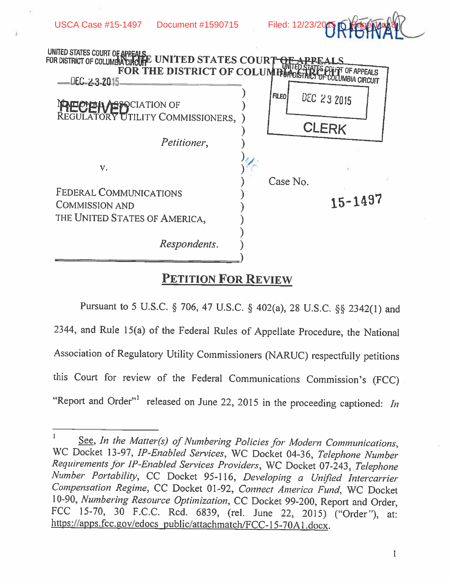



## PETITION FOR REVIEW

Pursuant to <sup>5</sup> U.S.C. § 706, <sup>47</sup> U.S.C. § 402(a), <sup>28</sup> U.S.C. § 2342(1) and 2344, and Rule 15(a) of the Federal Rules of Appellate Procedure, the National Association of Regulatory Utility Commissioners (NARUC) respectfully petitions this Court for review of the Federal Communications Commission's (FCC) "Report and Order"<sup>1</sup> released on June 22, 2015 in the proceeding captioned: In

See, In the Matter(s) of Numbering Policies for Modern Communications, WC Docket 13-97, IP-Enabled Services, WC Docket 04-36, Telephone Number Requirements for IP-Enabled Services Providers, WC Docket 07-243, Telephone Number Portability, CC Docket 95-116, Developing a Unified Intercarrier Compensation Regime, CC Docket 01-92, Connect America Fund, WC Docket 10-90, Numbering Resource Optimization, CC Docket 99-200, Report and Order, FCC 15-70, 30 F.C.C. Red. 6839, (rel. June 22, 2015) ("Order"), at: https://apps.fcc.gov/edocs\_public/attachmatch/FCC-15-70A1.docx.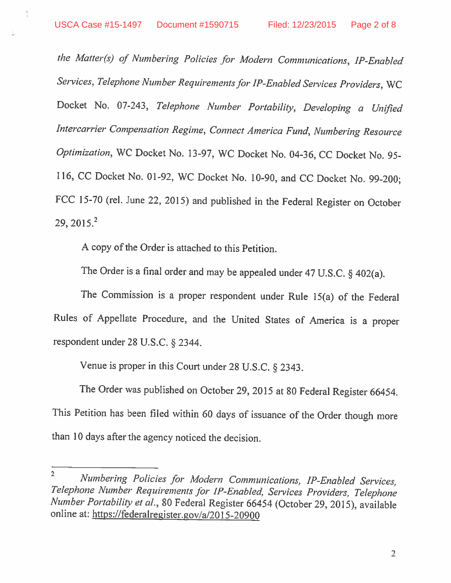Ĩ.

the Matter(s) of Numbering Policies for Modern Communications, IF-Enabled Services, Telephone Number Requirements for IP-Enabled Services Providers, WC Docket No. 07-243, Telephone Number Portability, Developing <sup>a</sup> Unified Intercarrier Compensation Regime, Connect America Fund, Numbering Resource Optimization, WC Docket No. 13-97, WC Docket No. 04-36, CC Docket No. 95- 116, CC Docket No. 01-92, WC Docket No. 10-90, and CC Docket No. 99-200; FCC 15-70 (rel. June 22, 2015) and published in the Federal Register on October 29,  $2015.<sup>2</sup>$ 

A copy of the Order is attached to this Petition.

The Order is a final order and may be appealed under 47 U.S.C. § 402(a).

The Commission is <sup>a</sup> proper respondent under Rule 15(a) of the Federal Rules of Appellate Procedure, and the United States of America is <sup>a</sup> proper respondent under <sup>28</sup> U.S.C. § 2344.

Venue is proper in this Court under <sup>28</sup> U.S.C. § 2343.

The Order was published on October 29, <sup>2015</sup> at <sup>80</sup> Federal Register 66454. This Petition has been filed within <sup>60</sup> days of issuance of the Order though more than <sup>10</sup> days after the agency noticed the decision.

 $\overline{2}$ Numbering Policies for Modern Communications, IP-Enabled Services, Telephone Number Requirements for IP-Enabled, Services Providers, Telephone Number Portability et al., <sup>80</sup> Federal Register <sup>66454</sup> (October 29, 2015), available online at: https://federalregister.gov/a/2015-20900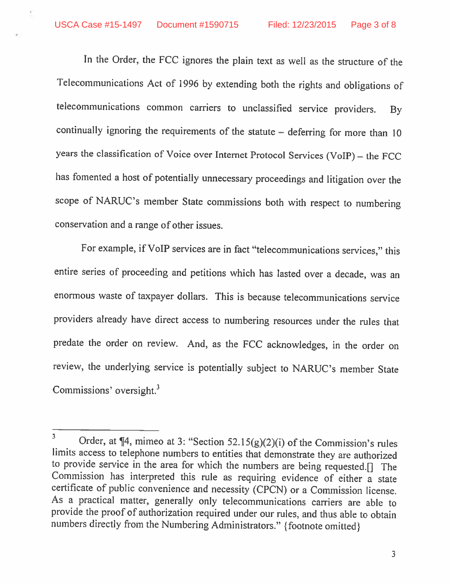In the Order, the FCC ignores the <sup>p</sup>lain text as well as the structure of the Telecommunications Act of <sup>1996</sup> by extending both the rights and obligations of telecommunications common carriers to unclassified service providers. By continually ignoring the requirements of the statute — deferring for more than <sup>10</sup> years the classification of Voice over Internet Protocol Services (VoIP) — the FCC has fomented <sup>a</sup> host of potentially unnecessary proceedings and litigation over the scope of NARUC's member State commissions both with respect to numbering conservation and <sup>a</sup> range of other issues.

For example, if VoIP services are in fact "telecommunications services," this entire series of proceeding and petitions which has lasted over <sup>a</sup> decade, was an enormous waste of taxpayer dollars. This is because telecommunications service providers already have direct access to numbering resources under the rules that predate the order on review. And, as the FCC acknowledges, in the order on review, the underlying service is potentially subject to NARUC's member State Commissions' oversight.<sup>3</sup>

 $\overline{\mathbf{3}}$ Order, at ¶4, mimeo at 3: "Section 52.15(g)(2)(i) of the Commission's rules limits access to telephone numbers to entities that demonstrate they are authorized to provide service in the area for which the numbers are being requested.[j The Commission has interpreted this rule as requiring evidence of either <sup>a</sup> state certificate of public convenience and necessity (CPCN) or <sup>a</sup> Commission license. As <sup>a</sup> practical matter, generally only telecommunications carriers are able to provide the proof of authorization required under our rules, and thus able to obtain numbers directly from the Numbering Administrators." (footnote omitted)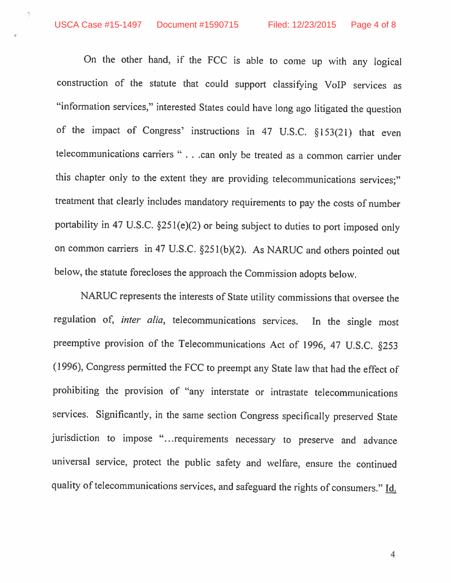Ű.

On the other hand, if the FCC is able to come up with any logical construction of the statute that could support classifying VoIP services as "information services," interested States could have long ago litigated the question of the impact of Congress' instructions in <sup>47</sup> U.S.C. §153(21) that even telecommunications carriers " ...can only be treated as <sup>a</sup> common carrier under this chapter only to the extent they are providing telecommunications services;" treatment that clearly includes mandatory requirements to pay the costs of number portability in <sup>47</sup> U.S.C. §251(e)(2) or being subject to duties to port imposed only on common carriers in 47 U.S.C. §251(b)(2). As NARUC and others pointed out below, the statute forecloses the approach the Commission adopts below.

NARUC represents the interests of State utility commissions that oversee the regulation of, inter alia, telecommunications services. In the single most preemptive provision of the Telecommunications Act of 1996, <sup>47</sup> U.S.C. §253 (1996), Congress permitted the FCC to preempt any State law that had the effect of prohibiting the provision of "any interstate or intrastate telecommunications services. Significantly, in the same section Congress specifically preserved State jurisdiction to impose "...requirements necessary to preserve and advance universal service, protect the public safety and welfare, ensure the continued quality of telecommunications services, and safeguard the rights of consumers." Id.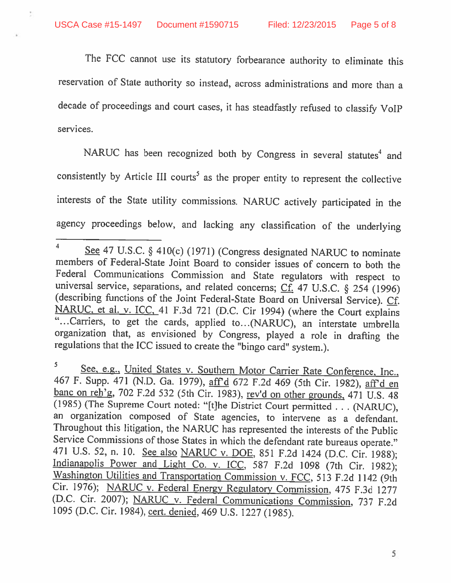ğ.

The FCC cannot use its statutory forbearance authority to eliminate this reservation of State authority so instead, across administrations and more than a decade of proceedings and court cases, it has steadfastly refused to classify VoIP services.

NARUC has been recognized both by Congress in several statutes<sup>4</sup> and consistently by Article III courts<sup>5</sup> as the proper entity to represent the collective interests of the State utility commissions. NARUC actively participated in the agency proceedings below, and lacking any classification of the underlying

<sup>&</sup>lt;sup>4</sup> See 47 U.S.C. § 410(c) (1971) (Congress designated NARUC to nominate members of Federal-State Joint Board to consider issues of concern to both the<br>Federal Communications Commission and State regulators with respect to universal service, separations, and related concerns; Cf. 47 U.S.C. § 254 (1996) (describing functions of the Joint Federal-State Board on Universal Service). Cf. NARUC, et al. v. ICC, 41 F.3d 721 (D.C. Cir 1994) (where th "... Carriers, to get the cards, applied to... (NARUC), an interstate umbrella organization that, as envisioned by Congress, <sup>p</sup>layed <sup>a</sup> role in drafting the regulations that the ICC issued to create the "bingo card" system.).

<sup>5</sup> See, e.g., United States v. Southern Motor Carrier Rate Conference, Inc., 467 F. Supp. 471 (N.D. Ga. 1979), aff'd 672 F.2d 469 (5th Cir. 1982), aff'd en banc on reh'g, 702 F.2d 532 (5th Cir. 1983), rev'd on other grounds, 471 U.S. 48 (1985) (The Supreme Court noted: "[t}he District Court permitted ...(NARUC), an organization composed of State agencies, to intervene as <sup>a</sup> defendant. Throughout this litigation, the NARUC has represented the interests of the Public Service Commissions of those States in which the defendant rate bureaus operate." 471 U.S. 52, n. 10. See also NARUC v. DOE, 851 F.2d 1424 (D.C. Cir. 1988); Indianapolis Power and Light Co. v. ICC, 587 F.2d 1098 (7th Cir. 1982); Washington Utilities and Transportation Commission v. FCC, 513 F.2d 1142 (9 Cir. 1976); NARUC v. Federal Energy Regulatory Commission, 475 F.3d 1277 (D.C. Cir. 2007); NARUC v. Federal Communications Commission, <sup>737</sup> F.2d <sup>1095</sup> (D.C. Cir. 1984), cert. denied, <sup>469</sup> U.S. <sup>1227</sup> (1985).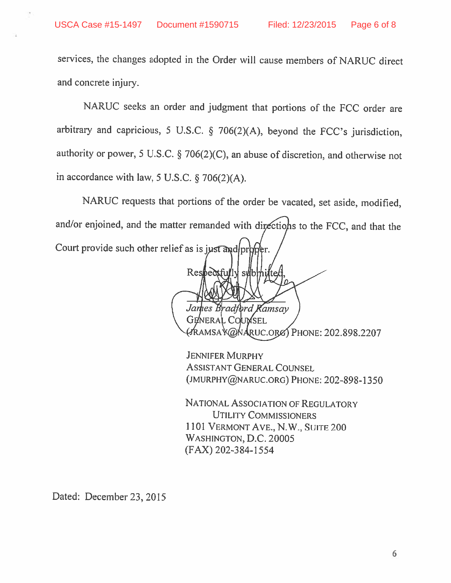services, the changes adopted in the Order will cause members of NARUC direct and concrete injury.

NARUC seeks an order and judgment that portions of the FCC order are arbitrary and capricious, <sup>5</sup> U.S.C. § 706(2)(A), beyond the FCC's jurisdiction, authority or power, <sup>5</sup> U.S.C. § 706(2)(C), an abuse of discretion, and otherwise not in accordance with law, <sup>5</sup> U.S.C. § 706(2)(A).

NARUC requests that portions of the order be vacated, set aside, modified, and/or enjoined, and the matter remanded with directions to the FCC, and that the Court provide such other relief as is just and proper.

Respectfully submitte James Bradford Kamsay **GENERAL COUMSEL** PHONE: 202.898.2207

ASSISTANT GENERAL COuNSEL (JMURPHY@NARUC.ORG) PHONE: 202-898-1350 JENNIFER MURPHY

NATIONAL ASSOCIATION OF REGULATORY UTILITY COMMISSIONERS 1101 VERMONT AVE., N.W., SUITE 200 WASHINGTON, D.C. 20005 (FAX) 202-384-1554

Dated: December 23, 2015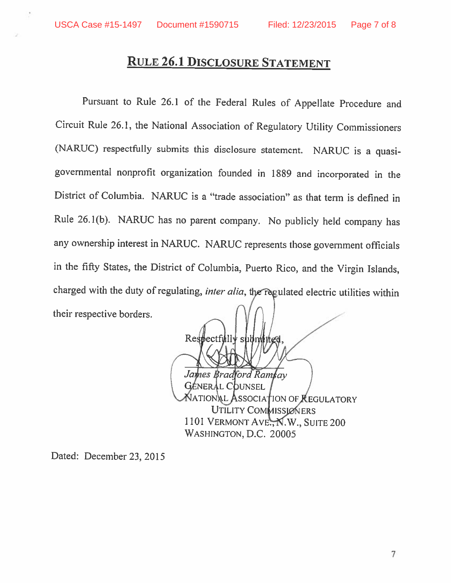## RULE 26.1 DIscLOsURE STATEMENT

Pursuant to Rule 26.1 of the Federal Rules of Appellate Procedure and Circuit Rule 26.1, the National Association of Regulatory Utility Commissioners (NARUC) respectfully submits this disclosure statement. NARUC is a quasigovernmental nonprofit organization founded in <sup>1889</sup> and incorporated in the District of Columbia. NARUC is <sup>a</sup> "trade association" as that term is defined in Rule 26.1(b). NARUC has no parent company. No publicly held company has any ownership interest in NARUC. NARUC represents those government officials in the fifty States, the District of Columbia, Puerto Rico, and the Virgin Islands, charged with the duty of regulating, *inter alia*, the regulated electric utilities within their respective borders.

Respectfully submitted James Bradford Ramtay ATIONAL ASSOCIATION OF REGULATORY 101 Vermont Ave., N.W., Suite 200 **GÉNERAL COUNSEL** UTILITY COMMISSIONERS WAsHINGTON, D.C. 20005

Dated: December 23, 2015